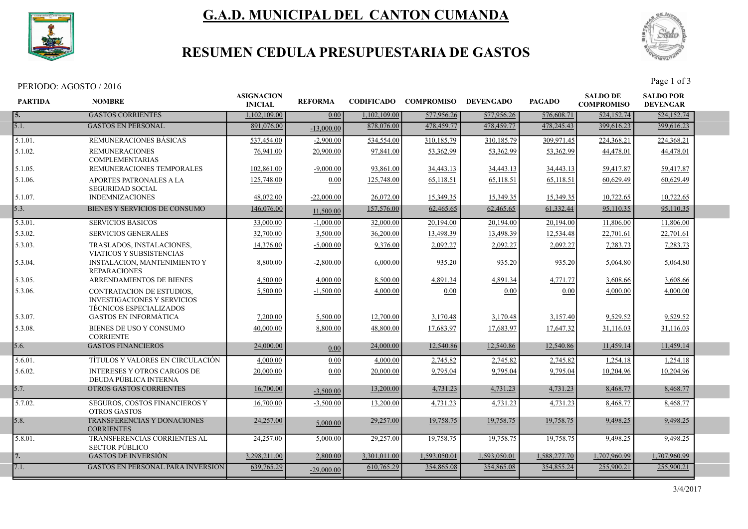

# G.A.D. MUNICIPAL DEL CANTON CUMANDA



## RESUMEN CEDULA PRESUPUESTARIA DE GASTOS

PERIODO: AGOSTO / 2016<br>Page 1 of 3

| <b>PARTIDA</b> | <b>NOMBRE</b>                                                                                     | <b>ASIGNACION</b><br><b>INICIAL</b> | <b>REFORMA</b> | <b>CODIFICADO</b> | <b>COMPROMISO</b> | <b>DEVENGADO</b> | <b>PAGADO</b> | <b>SALDO DE</b><br><b>COMPROMISO</b> | <b>SALDO POR</b><br><b>DEVENGAR</b> |  |
|----------------|---------------------------------------------------------------------------------------------------|-------------------------------------|----------------|-------------------|-------------------|------------------|---------------|--------------------------------------|-------------------------------------|--|
| 5.             | <b>GASTOS CORRIENTES</b>                                                                          | 1.102.109.00                        | 0.00           | 1,102,109.00      | 577,956.26        | 577,956.26       | 576,608.71    | 524,152.74                           | 524,152.74                          |  |
| 5.1.           | <b>GASTOS EN PERSONAL</b>                                                                         | 891,076.00                          | $-13,000.00$   | 878,076.00        | 478,459.77        | 478,459.77       | 478,245.43    | 399,616.23                           | 399,616.23                          |  |
| 5.1.01.        | <b>REMUNERACIONES BASICAS</b>                                                                     | 537,454.00                          | $-2,900.00$    | 534,554.00        | 310,185.79        | 310,185.79       | 309.971.45    | 224,368.21                           | 224,368.21                          |  |
| 5.1.02.        | <b>REMUNERACIONES</b><br><b>COMPLEMENTARIAS</b>                                                   | 76,941.00                           | 20,900.00      | 97,841.00         | 53,362.99         | 53,362.99        | 53,362.99     | 44,478.01                            | 44,478.01                           |  |
| 5.1.05.        | REMUNERACIONES TEMPORALES                                                                         | 102,861.00                          | $-9,000.00$    | 93,861.00         | 34,443.13         | 34,443.13        | 34,443.13     | 59,417.87                            | 59,417.87                           |  |
| 5.1.06.        | APORTES PATRONALES A LA<br><b>SEGURIDAD SOCIAL</b>                                                | 125,748.00                          | 0.00           | 125,748.00        | 65,118.51         | 65,118.51        | 65,118.51     | 60,629.49                            | 60,629.49                           |  |
| 5.1.07.        | <b>INDEMNIZACIONES</b>                                                                            | 48,072.00                           | $-22,000.00$   | 26,072.00         | 15,349.35         | 15,349.35        | 15,349.35     | 10,722.65                            | 10,722.65                           |  |
| 5.3.           | BIENES Y SERVICIOS DE CONSUMO                                                                     | 146,076.00                          | 11,500.00      | 157,576.00        | 62,465.65         | 62,465.65        | 61,332.44     | 95,110.35                            | 95,110.35                           |  |
| 5.3.01.        | <b>SERVICIOS BASICOS</b>                                                                          | 33,000.00                           | $-1,000.00$    | 32,000.00         | 20,194.00         | 20,194.00        | 20,194.00     | 11,806.00                            | 11,806.00                           |  |
| 5.3.02.        | <b>SERVICIOS GENERALES</b>                                                                        | 32,700.00                           | 3,500.00       | 36,200.00         | 13,498.39         | 13,498.39        | 12,534.48     | 22,701.61                            | 22,701.61                           |  |
| 5.3.03.        | TRASLADOS, INSTALACIONES,<br>VIATICOS Y SUBSISTENCIAS                                             | 14,376.00                           | $-5,000.00$    | 9,376.00          | 2,092.27          | 2,092.27         | 2,092.27      | 7,283.73                             | 7,283.73                            |  |
| 5.3.04.        | <b>INSTALACION, MANTENIMIENTO Y</b><br><b>REPARACIONES</b>                                        | 8,800.00                            | $-2,800.00$    | 6,000.00          | 935.20            | 935.20           | 935.20        | 5,064.80                             | 5,064.80                            |  |
| 5.3.05.        | <b>ARRENDAMIENTOS DE BIENES</b>                                                                   | 4.500.00                            | 4,000.00       | 8,500.00          | 4,891.34          | 4,891.34         | 4,771.77      | 3,608.66                             | 3,608.66                            |  |
| 5.3.06.        | CONTRATACION DE ESTUDIOS.<br><b>INVESTIGACIONES Y SERVICIOS</b><br><b>TECNICOS ESPECIALIZADOS</b> | 5,500.00                            | $-1,500.00$    | 4,000.00          | 0.00              | 0.00             | 0.00          | 4,000.00                             | 4,000.00                            |  |
| 5.3.07.        | <b>GASTOS EN INFORMÁTICA</b>                                                                      | 7,200.00                            | 5,500.00       | 12,700.00         | 3,170.48          | 3,170.48         | 3,157.40      | 9,529.52                             | 9,529.52                            |  |
| 5.3.08.        | BIENES DE USO Y CONSUMO<br><b>CORRIENTE</b>                                                       | 40,000.00                           | 8,800.00       | 48,800.00         | 17.683.97         | 17.683.97        | 17,647.32     | 31,116.03                            | 31,116.03                           |  |
| 5.6.           | <b>GASTOS FINANCIEROS</b>                                                                         | 24,000.00                           | 0.00           | 24,000.00         | 12,540.86         | 12,540.86        | 12,540.86     | 11,459.14                            | 11,459.14                           |  |
| 5.6.01.        | TÍTULOS Y VALORES EN CIRCULACIÓN                                                                  | 4,000.00                            | 0.00           | 4,000.00          | 2,745.82          | 2,745.82         | 2,745.82      | 1,254.18                             | 1,254.18                            |  |
| 5.6.02.        | <b>INTERESES Y OTROS CARGOS DE</b><br>DEUDA PÚBLICA INTERNA                                       | 20,000.00                           | 0.00           | 20,000.00         | 9.795.04          | 9,795.04         | 9,795.04      | 10,204.96                            | 10,204.96                           |  |
| 5.7.           | OTROS GASTOS CORRIENTES                                                                           | 16,700.00                           | $-3,500.00$    | 13,200.00         | 4,731.23          | 4,731.23         | 4,731.23      | 8,468.77                             | 8,468.77                            |  |
| 5.7.02.        | SEGUROS, COSTOS FINANCIEROS Y<br><b>OTROS GASTOS</b>                                              | 16,700.00                           | $-3,500.00$    | 13,200.00         | 4,731.23          | 4,731.23         | 4,731.23      | 8,468.77                             | 8,468.77                            |  |
| 5.8.           | TRANSFERENCIAS Y DONACIONES<br><b>CORRIENTES</b>                                                  | 24,257.00                           | 5,000.00       | 29,257.00         | 19,758.75         | 19,758.75        | 19,758.75     | 9.498.25                             | 9,498.25                            |  |
| 5.8.01.        | TRANSFERENCIAS CORRIENTES AL<br><b>SECTOR PÚBLICO</b>                                             | 24,257.00                           | 5,000.00       | 29,257.00         | 19,758.75         | 19,758.75        | 19,758.75     | 9,498.25                             | 9,498.25                            |  |
| 7.             | <b>GASTOS DE INVERSIÓN</b>                                                                        | 3,298,211.00                        | 2,800.00       | 3,301,011.00      | 1.593.050.01      | 1,593,050.01     | 1,588,277.70  | 1.707.960.99                         | 1,707,960.99                        |  |
| 7.1.           | <b>GASTOS EN PERSONAL PARA INVERSIÓN</b>                                                          | 639,765.29                          | $-29,000.00$   | 610,765.29        | 354,865.08        | 354,865.08       | 354,855.24    | 255,900.21                           | 255,900.21                          |  |
|                |                                                                                                   |                                     |                |                   |                   |                  |               |                                      |                                     |  |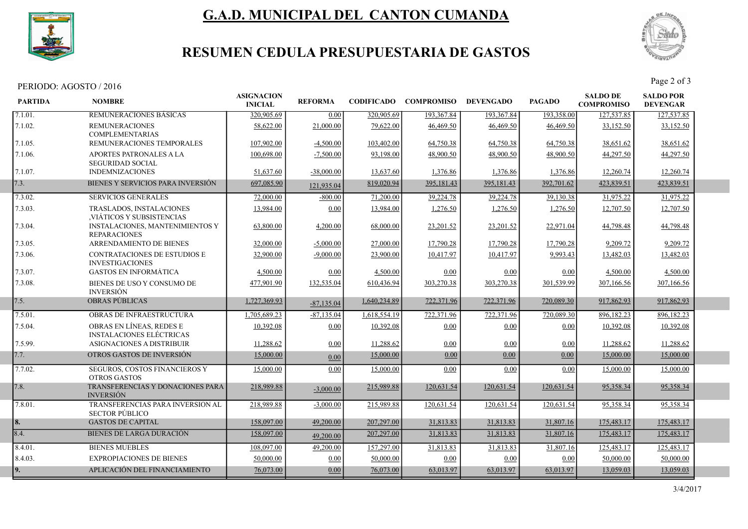

# G.A.D. MUNICIPAL DEL CANTON CUMANDA



## RESUMEN CEDULA PRESUPUESTARIA DE GASTOS

PERIODO: AGOSTO / 2016<br>Page 2 of 3

| 7.1.01.<br>320,905.69<br><b>REMUNERACIONES BASICAS</b><br>0.00<br>320,905.69<br>193,367.84<br>193,367.84<br>193,358.00                                    | 127,537.85 | 127,537.85 |
|-----------------------------------------------------------------------------------------------------------------------------------------------------------|------------|------------|
|                                                                                                                                                           |            |            |
| 7.1.02.<br>58,622.00<br>21,000.00<br>79,622.00<br>46,469.50<br>46,469.50<br>46,469.50<br><b>REMUNERACIONES</b><br><b>COMPLEMENTARIAS</b>                  | 33,152.50  | 33,152.50  |
| REMUNERACIONES TEMPORALES<br>107,902.00<br>$-4,500.00$<br>103,402.00<br>64,750.38<br>64,750.38<br>64,750.38<br>7.1.05.                                    | 38,651.62  | 38,651.62  |
| 7.1.06.<br>48,900.50<br>48,900.50<br>48,900.50<br><b>APORTES PATRONALES A LA</b><br>100,698.00<br>$-7,500.00$<br>93,198.00<br><b>SEGURIDAD SOCIAL</b>     | 44,297.50  | 44,297.50  |
| 13,637.60<br>7.1.07.<br><b>INDEMNIZACIONES</b><br>51,637.60<br>$-38,000.00$<br>1,376.86<br>1,376.86<br>1,376.86                                           | 12,260.74  | 12,260.74  |
| BIENES Y SERVICIOS PARA INVERSIÓN<br>7.3.<br>697,085.90<br>819,020.94<br>395,181.43<br>395,181.43<br>392,701.62<br>121,935.04                             | 423,839.51 | 423,839.51 |
| 7.3.02.<br><b>SERVICIOS GENERALES</b><br>71,200.00<br>39,224.78<br>39,224.78<br>72,000.00<br>$-800.00$<br>39,130.38                                       | 31,975.22  | 31,975.22  |
| 7.3.03.<br>13,984.00<br>0.00<br>13,984.00<br>1,276.50<br>1,276.50<br><b>TRASLADOS, INSTALACIONES</b><br>1,276.50<br>VIÁTICOS Y SUBSISTENCIAS              | 12,707.50  | 12,707.50  |
| 7.3.04.<br>INSTALACIONES, MANTENIMIENTOS Y<br>63,800.00<br>4,200.00<br>68,000.00<br>23,201.52<br>23,201.52<br>22,971.04<br><b>REPARACIONES</b>            | 44,798.48  | 44,798.48  |
| ARRENDAMIENTO DE BIENES<br>32,000.00<br>$-5,000,00$<br>27,000.00<br>17,790.28<br>17,790.28<br>17.790.28<br>7.3.05.                                        | 9,209.72   | 9.209.72   |
| CONTRATACIONES DE ESTUDIOS E<br>$-9,000.00$<br>23,900.00<br>10,417.97<br>10,417.97<br>9,993.43<br>7.3.06.<br>32,900.00<br><b>INVESTIGACIONES</b>          | 13,482.03  | 13,482.03  |
| <b>GASTOS EN INFORMÁTICA</b><br>7.3.07.<br>0.00<br>4,500.00<br>0.00<br>4,500.00<br>0.00<br>0.00                                                           | 4,500.00   | 4,500.00   |
| 7.3.08.<br>BIENES DE USO Y CONSUMO DE<br>132,535.04<br>303,270.38<br>303,270.38<br>301,539.99<br>477,901.90<br>610,436.94<br><b>INVERSIÓN</b>             | 307,166.56 | 307,166.56 |
| <b>OBRAS PÚBLICAS</b><br>7.5.<br>1,727,369.93<br>1,640,234.89<br>722,371.96<br>722,371.96<br>720,089.30<br>$-87,135.04$                                   | 917,862.93 | 917,862.93 |
| 7.5.01.<br><b>OBRAS DE INFRAESTRUCTURA</b><br>1,705,689.23<br>$-87,135.04$<br>1,618,554.19<br>722,371.96<br>722,371.96<br>720,089.30                      | 896,182.23 | 896,182.23 |
| OBRAS EN LÍNEAS, REDES E<br>7.5.04.<br>10.392.08<br>0.00<br>10.392.08<br>0.00<br>0.00<br>0.00<br><b>INSTALACIONES ELÉCTRICAS</b>                          | 10,392.08  | 10.392.08  |
| 7.5.99.<br>ASIGNACIONES A DISTRIBUIR<br>11,288.62<br>0.00<br>11,288.62<br>0.00<br>0.00<br>0.00                                                            | 11,288.62  | 11,288.62  |
| OTROS GASTOS DE INVERSIÓN<br>7.7.<br>15,000.00<br>0.00<br>15,000.00<br>0.00<br>0.00<br>0.00                                                               | 15,000.00  | 15,000.00  |
| 7.7.02.<br>SEGUROS, COSTOS FINANCIEROS Y<br>15,000.00<br>0.00<br>15,000.00<br>0.00<br>0.00<br>0.00<br><b>OTROS GASTOS</b>                                 | 15,000.00  | 15,000.00  |
| 7.8.<br>TRANSFERENCIAS Y DONACIONES PARA<br>215,989.88<br>120,631.54<br>218,989.88<br>120.631.54<br>120,631.54<br>$-3,000.00$<br><b>INVERSIÓN</b>         | 95,358.34  | 95,358.34  |
| 7.8.01.<br>TRANSFERENCIAS PARA INVERSION AL<br>218,989.88<br>$-3,000.00$<br>215,989.88<br>120,631.54<br>120,631.54<br>120,631.54<br><b>SECTOR PÚBLICO</b> | 95,358.34  | 95,358.34  |
| 8.<br><b>GASTOS DE CAPITAL</b><br>158,097.00<br>49,200.00<br>207,297.00<br>31,813.83<br>31,813.83<br>31,807.16                                            | 175,483.17 | 175,483.17 |
| 8.4.<br><b>BIENES DE LARGA DURACIÓN</b><br>158,097.00<br>207,297.00<br>31,813.83<br>31,813.83<br>31,807.16<br>49,200.00                                   | 175,483.17 | 175,483.17 |
| <b>BIENES MUEBLES</b><br>49,200.00<br>157,297.00<br>31,813.83<br>31,807.16<br>8.4.01.<br>108,097.00<br>31,813.83                                          | 125,483.17 | 125,483.17 |
| 8.4.03.<br><b>EXPROPIACIONES DE BIENES</b><br>50,000.00<br>0.00<br>50,000.00<br>0.00<br>0.00<br>0.00                                                      | 50,000.00  | 50,000.00  |
| APLICACIÓN DEL FINANCIAMIENTO<br>9.<br>0.00<br>63,013.97<br>63,013.97<br>63,013.97<br>76,073.00<br>76,073.00                                              | 13,059.03  | 13,059.03  |